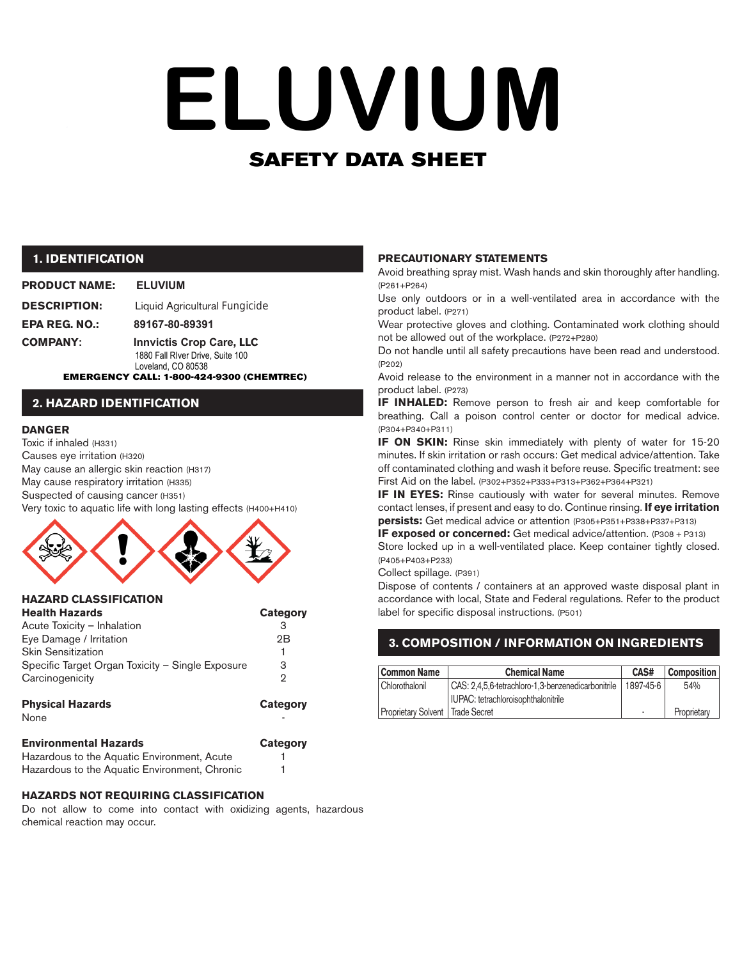# SAFETY DATA SHEET **ELUVIUM**

## **1. IDENTIFICATION**

## **PRODUCT NAME: ELUVIUM**

| <b>DESCRIPTION:</b> | Liquid Agricultural Fungicide   |
|---------------------|---------------------------------|
| EPA REG. NO.:       | 89167-80-89391                  |
| COMPANY:            | <b>Innvictis Crop Care, LLC</b> |

1880 Fall RIver Drive, Suite 100

EMERGENCY CALL: 1-800-424-9300 (CHEMTREC) Loveland, CO 80538

## **2. HAZARD IDENTIFICATION**

#### **DANGER**

Toxic if inhaled (H331) Causes eye irritation (H320) May cause an allergic skin reaction (H317) May cause respiratory irritation (H335) Suspected of causing cancer (H351) Very toxic to aquatic life with long lasting effects (H400+H410)



| <b>HAZARD CLASSIFICATION</b>                     |          |
|--------------------------------------------------|----------|
| <b>Health Hazards</b>                            | Category |
| Acute Toxicity - Inhalation                      | З        |
| Eye Damage / Irritation                          | 2B       |
| <b>Skin Sensitization</b>                        | 1        |
| Specific Target Organ Toxicity - Single Exposure | З        |
| Carcinogenicity                                  | 2        |
|                                                  |          |
|                                                  |          |

| <b>Physical Hazards</b> | Category |
|-------------------------|----------|
| None                    | -        |
|                         |          |

| <b>Environmental Hazards</b>                  | Category |
|-----------------------------------------------|----------|
| Hazardous to the Aquatic Environment, Acute   |          |
| Hazardous to the Aquatic Environment, Chronic |          |

#### **HAZARDS NOT REQUIRING CLASSIFICATION**

Do not allow to come into contact with oxidizing agents, hazardous chemical reaction may occur.

#### **PRECAUTIONARY STATEMENTS**

Avoid breathing spray mist. Wash hands and skin thoroughly after handling. (P261+P264)

Use only outdoors or in a well-ventilated area in accordance with the product label. (P271)

Wear protective gloves and clothing. Contaminated work clothing should not be allowed out of the workplace. (P272+P280)

Do not handle until all safety precautions have been read and understood. (P202)

Avoid release to the environment in a manner not in accordance with the product label. (P273)

**IF INHALED:** Remove person to fresh air and keep comfortable for breathing. Call a poison control center or doctor for medical advice. (P304+P340+P311)

**IF ON SKIN:** Rinse skin immediately with plenty of water for 15-20 minutes. If skin irritation or rash occurs: Get medical advice/attention. Take off contaminated clothing and wash it before reuse. Specific treatment: see First Aid on the label. (P302+P352+P333+P313+P362+P364+P321)

**IF IN EYES:** Rinse cautiously with water for several minutes. Remove contact lenses, if present and easy to do. Continue rinsing. **If eye irritation persists:** Get medical advice or attention (P305+P351+P338+P337+P313)

**IF exposed or concerned:** Get medical advice/attention. (P308 + P313) Store locked up in a well-ventilated place. Keep container tightly closed. (P405+P403+P233)

Collect spillage. (P391)

Dispose of contents / containers at an approved waste disposal plant in accordance with local, State and Federal regulations. Refer to the product label for specific disposal instructions. (P501)

# **3. COMPOSITION / INFORMATION ON INGREDIENTS**

| Common Name                        | <b>Chemical Name</b>                               | CAS#                     | <b>Composition</b> |
|------------------------------------|----------------------------------------------------|--------------------------|--------------------|
| Chlorothalonil                     | CAS: 2,4,5,6-tetrachloro-1,3-benzenedicarbonitrile | 1897-45-6                | 54%                |
|                                    | IUPAC: tetrachloroisophthalonitrile                |                          |                    |
| Proprietary Solvent   Trade Secret |                                                    | $\overline{\phantom{a}}$ | Proprietary        |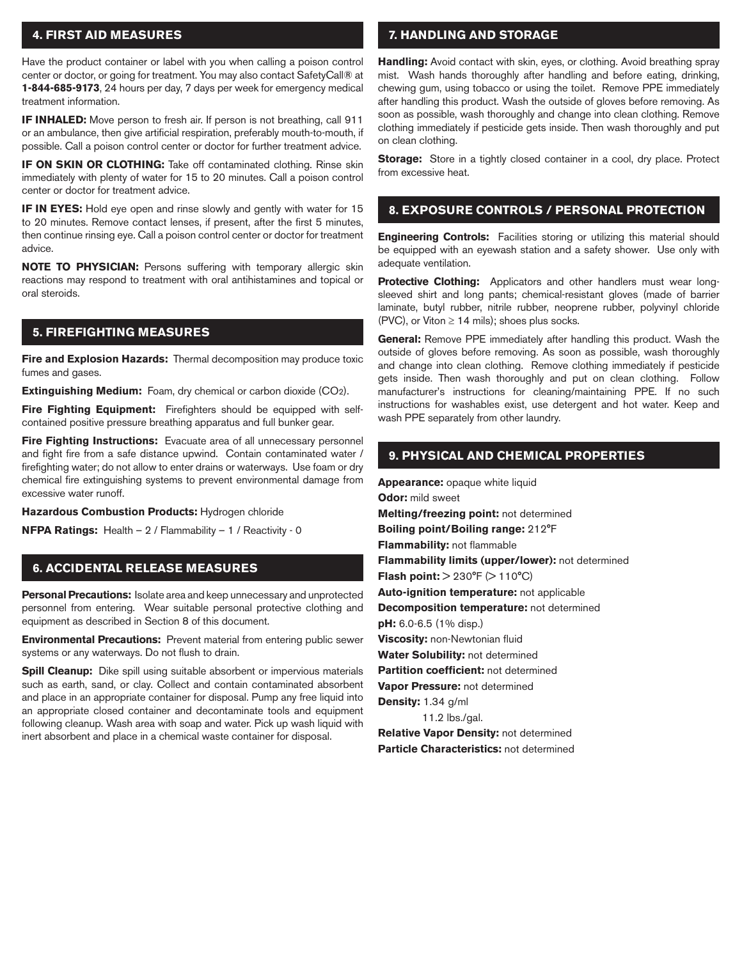## **4. FIRST AID MEASURES**

Have the product container or label with you when calling a poison control center or doctor, or going for treatment. You may also contact SafetyCall® at **1-844-685-9173**, 24 hours per day, 7 days per week for emergency medical treatment information.

**IF INHALED:** Move person to fresh air. If person is not breathing, call 911 or an ambulance, then give artificial respiration, preferably mouth-to-mouth, if possible. Call a poison control center or doctor for further treatment advice.

**IF ON SKIN OR CLOTHING:** Take off contaminated clothing. Rinse skin immediately with plenty of water for 15 to 20 minutes. Call a poison control center or doctor for treatment advice.

**IF IN EYES:** Hold eye open and rinse slowly and gently with water for 15 to 20 minutes. Remove contact lenses, if present, after the first 5 minutes, then continue rinsing eye. Call a poison control center or doctor for treatment advice.

**NOTE TO PHYSICIAN:** Persons suffering with temporary allergic skin reactions may respond to treatment with oral antihistamines and topical or oral steroids.

## **5. FIREFIGHTING MEASURES**

**Fire and Explosion Hazards:** Thermal decomposition may produce toxic fumes and gases.

**Extinguishing Medium:** Foam, dry chemical or carbon dioxide (CO<sub>2</sub>).

**Fire Fighting Equipment:** Firefighters should be equipped with selfcontained positive pressure breathing apparatus and full bunker gear.

**Fire Fighting Instructions:** Evacuate area of all unnecessary personnel and fight fire from a safe distance upwind. Contain contaminated water / firefighting water; do not allow to enter drains or waterways. Use foam or dry chemical fire extinguishing systems to prevent environmental damage from excessive water runoff.

**Hazardous Combustion Products:** Hydrogen chloride

**NFPA Ratings:** Health – 2 / Flammability – 1 / Reactivity - 0

## **6. ACCIDENTAL RELEASE MEASURES**

**Personal Precautions:** Isolate area and keep unnecessary and unprotected personnel from entering. Wear suitable personal protective clothing and equipment as described in Section 8 of this document.

**Environmental Precautions:** Prevent material from entering public sewer systems or any waterways. Do not flush to drain.

**Spill Cleanup:** Dike spill using suitable absorbent or impervious materials such as earth, sand, or clay. Collect and contain contaminated absorbent and place in an appropriate container for disposal. Pump any free liquid into an appropriate closed container and decontaminate tools and equipment following cleanup. Wash area with soap and water. Pick up wash liquid with inert absorbent and place in a chemical waste container for disposal.

## **7. HANDLING AND STORAGE**

**Handling:** Avoid contact with skin, eyes, or clothing. Avoid breathing spray mist. Wash hands thoroughly after handling and before eating, drinking, chewing gum, using tobacco or using the toilet. Remove PPE immediately after handling this product. Wash the outside of gloves before removing. As soon as possible, wash thoroughly and change into clean clothing. Remove clothing immediately if pesticide gets inside. Then wash thoroughly and put on clean clothing.

**Storage:** Store in a tightly closed container in a cool, dry place. Protect from excessive heat.

### **8. EXPOSURE CONTROLS / PERSONAL PROTECTION**

**Engineering Controls:** Facilities storing or utilizing this material should be equipped with an eyewash station and a safety shower. Use only with adequate ventilation.

**Protective Clothing:** Applicators and other handlers must wear longsleeved shirt and long pants; chemical-resistant gloves (made of barrier laminate, butyl rubber, nitrile rubber, neoprene rubber, polyvinyl chloride (PVC), or Viton  $\geq$  14 mils); shoes plus socks.

**General:** Remove PPE immediately after handling this product. Wash the outside of gloves before removing. As soon as possible, wash thoroughly and change into clean clothing. Remove clothing immediately if pesticide gets inside. Then wash thoroughly and put on clean clothing. Follow manufacturer's instructions for cleaning/maintaining PPE. If no such instructions for washables exist, use detergent and hot water. Keep and wash PPE separately from other laundry.

### **9. PHYSICAL AND CHEMICAL PROPERTIES**

**Appearance:** opaque white liquid **Odor:** mild sweet **Melting/freezing point:** not determined **Boiling point/Boiling range:** 212°F **Flammability:** not flammable **Flammability limits (upper/lower):** not determined **Flash point:**  $> 230^{\circ}F$  ( $> 110^{\circ}C$ ) **Auto-ignition temperature:** not applicable **Decomposition temperature:** not determined **pH:** 6.0-6.5 (1% disp.) **Viscosity:** non-Newtonian fluid **Water Solubility:** not determined **Partition coefficient:** not determined **Vapor Pressure:** not determined **Density:** 1.34 g/ml 11.2 lbs./gal. **Relative Vapor Density:** not determined

**Particle Characteristics:** not determined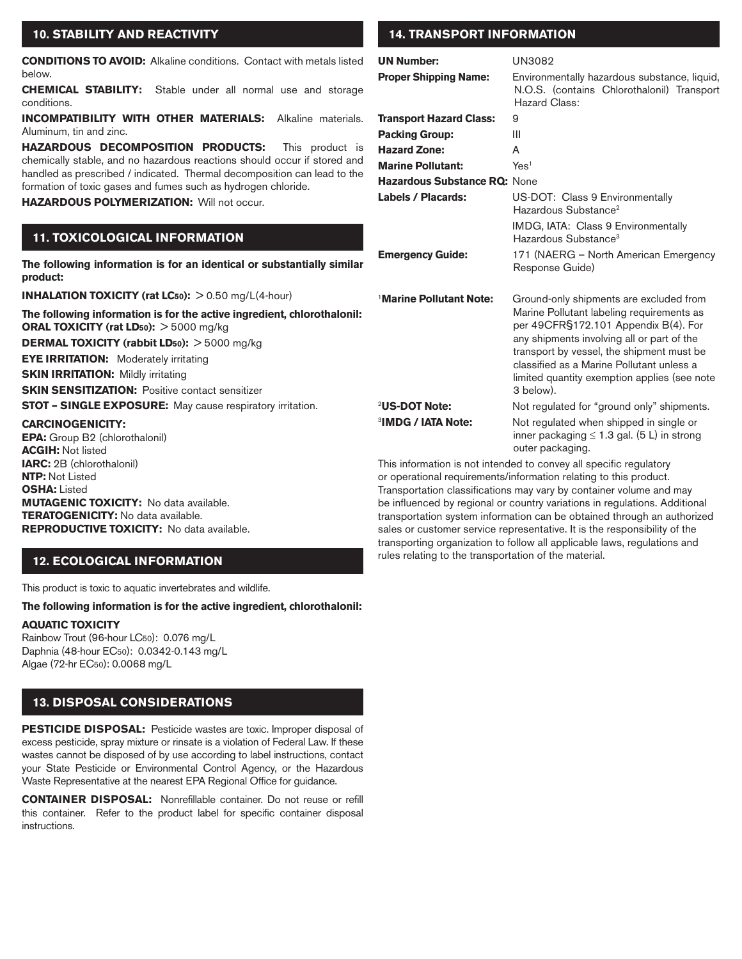## **10. STABILITY AND REACTIVITY**

**CONDITIONS TO AVOID:** Alkaline conditions. Contact with metals listed below.

**CHEMICAL STABILITY:** Stable under all normal use and storage conditions.

**INCOMPATIBILITY WITH OTHER MATERIALS:** Alkaline materials. Aluminum, tin and zinc.

**HAZARDOUS DECOMPOSITION PRODUCTS:** This product is chemically stable, and no hazardous reactions should occur if stored and handled as prescribed / indicated. Thermal decomposition can lead to the formation of toxic gases and fumes such as hydrogen chloride.

**HAZARDOUS POLYMERIZATION:** Will not occur.

# **11. TOXICOLOGICAL INFORMATION**

**The following information is for an identical or substantially similar product:**

**INHALATION TOXICITY (rat LC50):** > 0.50 mg/L(4-hour)

**The following information is for the active ingredient, chlorothalonil: ORAL TOXICITY (rat LD50):** > 5000 mg/kg **DERMAL TOXICITY (rabbit LD50):** > 5000 mg/kg **EYE IRRITATION:** Moderately irritating **SKIN IRRITATION: Mildly irritating SKIN SENSITIZATION: Positive contact sensitizer STOT – SINGLE EXPOSURE:** May cause respiratory irritation. **CARCINOGENICITY:** 

**EPA:** Group B2 (chlorothalonil) **ACGIH:** Not listed **IARC:** 2B (chlorothalonil) **NTP:** Not Listed **OSHA:** Listed **MUTAGENIC TOXICITY:** No data available. **TERATOGENICITY:** No data available. **REPRODUCTIVE TOXICITY:** No data available.

# **12. ECOLOGICAL INFORMATION**

This product is toxic to aquatic invertebrates and wildlife.

**The following information is for the active ingredient, chlorothalonil:** 

## **AQUATIC TOXICITY**

Rainbow Trout (96-hour LC50): 0.076 mg/L Daphnia (48-hour EC50): 0.0342-0.143 mg/L Algae (72-hr EC50): 0.0068 mg/L

# **13. DISPOSAL CONSIDERATIONS**

**PESTICIDE DISPOSAL:** Pesticide wastes are toxic. Improper disposal of excess pesticide, spray mixture or rinsate is a violation of Federal Law. If these wastes cannot be disposed of by use according to label instructions, contact your State Pesticide or Environmental Control Agency, or the Hazardous Waste Representative at the nearest EPA Regional Office for guidance.

**CONTAINER DISPOSAL:** Nonrefillable container. Do not reuse or refill this container. Refer to the product label for specific container disposal instructions.

# **14. TRANSPORT INFORMATION**

| <b>UN Number:</b>                   | UN3082                                                                                                                                                                                                                                                                                                                            |
|-------------------------------------|-----------------------------------------------------------------------------------------------------------------------------------------------------------------------------------------------------------------------------------------------------------------------------------------------------------------------------------|
| <b>Proper Shipping Name:</b>        | Environmentally hazardous substance, liquid,<br>N.O.S. (contains Chlorothalonil) Transport<br><b>Hazard Class:</b>                                                                                                                                                                                                                |
| <b>Transport Hazard Class:</b>      | 9                                                                                                                                                                                                                                                                                                                                 |
| <b>Packing Group:</b>               | Ш                                                                                                                                                                                                                                                                                                                                 |
| <b>Hazard Zone:</b>                 | A                                                                                                                                                                                                                                                                                                                                 |
| <b>Marine Pollutant:</b>            | Yes <sup>1</sup>                                                                                                                                                                                                                                                                                                                  |
| Hazardous Substance RQ: None        |                                                                                                                                                                                                                                                                                                                                   |
| Labels / Placards:                  | US-DOT: Class 9 Environmentally<br>Hazardous Substance <sup>2</sup>                                                                                                                                                                                                                                                               |
|                                     | IMDG, IATA: Class 9 Environmentally<br>Hazardous Substance <sup>3</sup>                                                                                                                                                                                                                                                           |
| <b>Emergency Guide:</b>             | 171 (NAERG - North American Emergency<br>Response Guide)                                                                                                                                                                                                                                                                          |
| <sup>1</sup> Marine Pollutant Note: | Ground-only shipments are excluded from<br>Marine Pollutant labeling requirements as<br>per 49CFR§172.101 Appendix B(4). For<br>any shipments involving all or part of the<br>transport by vessel, the shipment must be<br>classified as a Marine Pollutant unless a<br>limited quantity exemption applies (see note<br>3 below). |
| <sup>2</sup> US-DOT Note:           | Not regulated for "ground only" shipments.                                                                                                                                                                                                                                                                                        |
| <sup>3</sup> IMDG / IATA Note:      | Not regulated when shipped in single or<br>inner packaging $\leq 1.3$ gal. (5 L) in strong<br>outer packaging.                                                                                                                                                                                                                    |
|                                     | $\overline{a}$                                                                                                                                                                                                                                                                                                                    |

This information is not intended to convey all specific regulatory or operational requirements/information relating to this product. Transportation classifications may vary by container volume and may be influenced by regional or country variations in regulations. Additional transportation system information can be obtained through an authorized sales or customer service representative. It is the responsibility of the transporting organization to follow all applicable laws, regulations and rules relating to the transportation of the material.